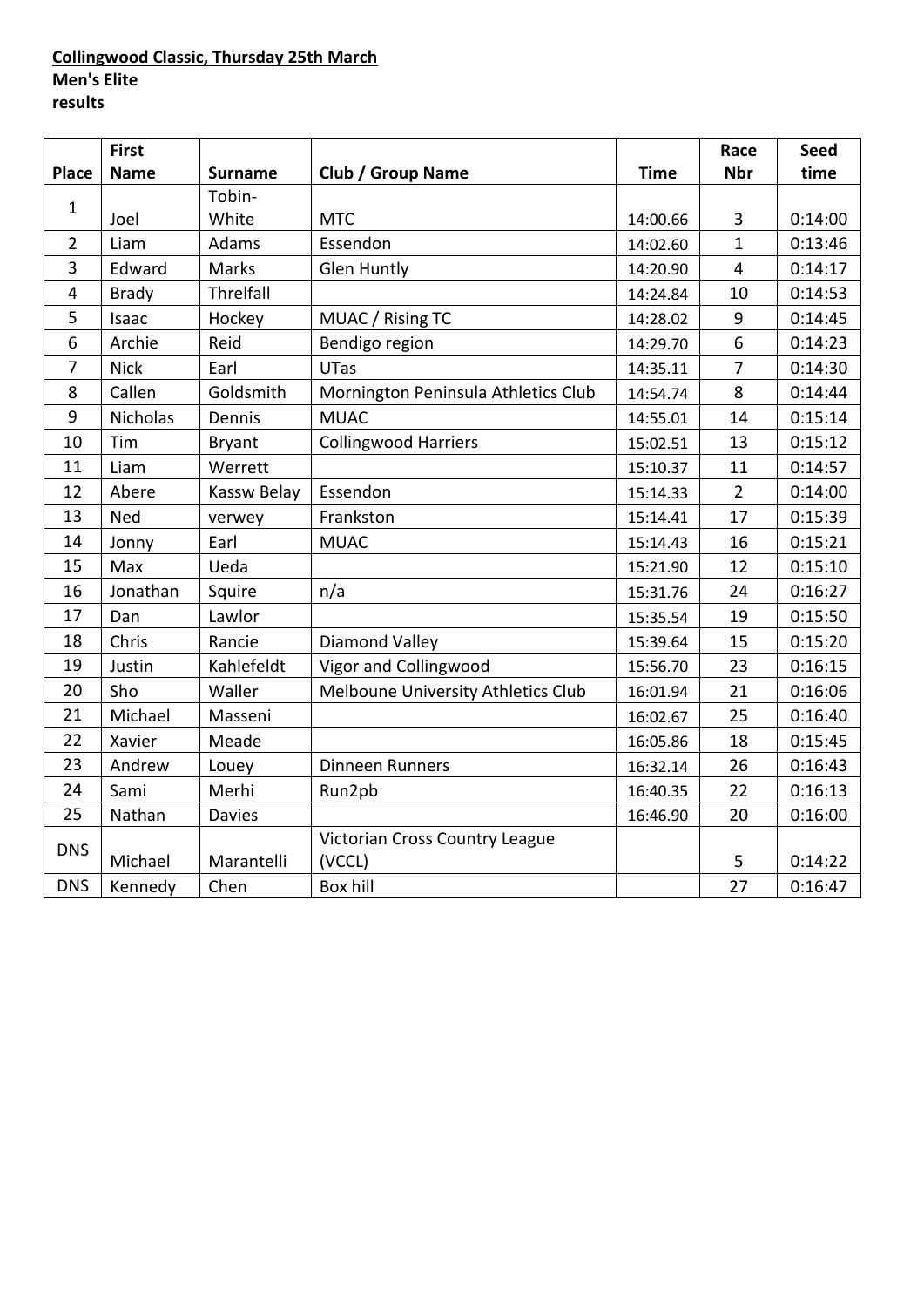### **Collingwood Classic, Thursday 25th March Men's Elite results**

|                | <b>First</b>    |                |                                     |             | Race                    | <b>Seed</b> |
|----------------|-----------------|----------------|-------------------------------------|-------------|-------------------------|-------------|
| <b>Place</b>   | <b>Name</b>     | <b>Surname</b> | <b>Club / Group Name</b>            | <b>Time</b> | <b>Nbr</b>              | time        |
| $\mathbf{1}$   |                 | Tobin-         |                                     |             |                         |             |
|                | Joel            | White          | <b>MTC</b>                          | 14:00.66    | 3                       | 0:14:00     |
| $\overline{2}$ | Liam            | Adams          | Essendon                            | 14:02.60    | $\mathbf{1}$            | 0:13:46     |
| 3              | Edward          | Marks          | <b>Glen Huntly</b>                  | 14:20.90    | $\overline{\mathbf{4}}$ | 0:14:17     |
| 4              | <b>Brady</b>    | Threlfall      |                                     | 14:24.84    | 10                      | 0:14:53     |
| 5              | Isaac           | Hockey         | MUAC / Rising TC                    | 14:28.02    | 9                       | 0:14:45     |
| 6              | Archie          | Reid           | Bendigo region                      | 14:29.70    | $\overline{6}$          | 0:14:23     |
| $\overline{7}$ | <b>Nick</b>     | Earl           | <b>UTas</b>                         | 14:35.11    | $\overline{7}$          | 0:14:30     |
| 8              | Callen          | Goldsmith      | Mornington Peninsula Athletics Club | 14:54.74    | 8                       | 0:14:44     |
| 9              | <b>Nicholas</b> | Dennis         | <b>MUAC</b>                         | 14:55.01    | 14                      | 0:15:14     |
| 10             | Tim             | <b>Bryant</b>  | <b>Collingwood Harriers</b>         | 15:02.51    | 13                      | 0:15:12     |
| 11             | Liam            | Werrett        |                                     | 15:10.37    | 11                      | 0:14:57     |
| 12             | Abere           | Kassw Belay    | Essendon                            | 15:14.33    | $\overline{2}$          | 0:14:00     |
| 13             | <b>Ned</b>      | verwey         | Frankston                           | 15:14.41    | 17                      | 0:15:39     |
| 14             | Jonny           | Earl           | <b>MUAC</b>                         | 15:14.43    | 16                      | 0:15:21     |
| 15             | Max             | Ueda           |                                     | 15:21.90    | 12                      | 0:15:10     |
| 16             | Jonathan        | Squire         | n/a                                 | 15:31.76    | 24                      | 0:16:27     |
| 17             | Dan             | Lawlor         |                                     | 15:35.54    | 19                      | 0:15:50     |
| 18             | Chris           | Rancie         | <b>Diamond Valley</b>               | 15:39.64    | 15                      | 0:15:20     |
| 19             | Justin          | Kahlefeldt     | Vigor and Collingwood               | 15:56.70    | 23                      | 0:16:15     |
| 20             | Sho             | Waller         | Melboune University Athletics Club  | 16:01.94    | 21                      | 0:16:06     |
| 21             | Michael         | Masseni        |                                     | 16:02.67    | 25                      | 0:16:40     |
| 22             | Xavier          | Meade          |                                     | 16:05.86    | 18                      | 0:15:45     |
| 23             | Andrew          | Louey          | <b>Dinneen Runners</b>              | 16:32.14    | 26                      | 0:16:43     |
| 24             | Sami            | Merhi          | Run2pb                              | 16:40.35    | 22                      | 0:16:13     |
| 25             | Nathan          | <b>Davies</b>  |                                     | 16:46.90    | 20                      | 0:16:00     |
| <b>DNS</b>     |                 |                | Victorian Cross Country League      |             |                         |             |
|                | Michael         | Marantelli     | (VCCL)                              |             | 5                       | 0:14:22     |
| <b>DNS</b>     | Kennedy         | Chen           | <b>Box hill</b>                     |             | 27                      | 0:16:47     |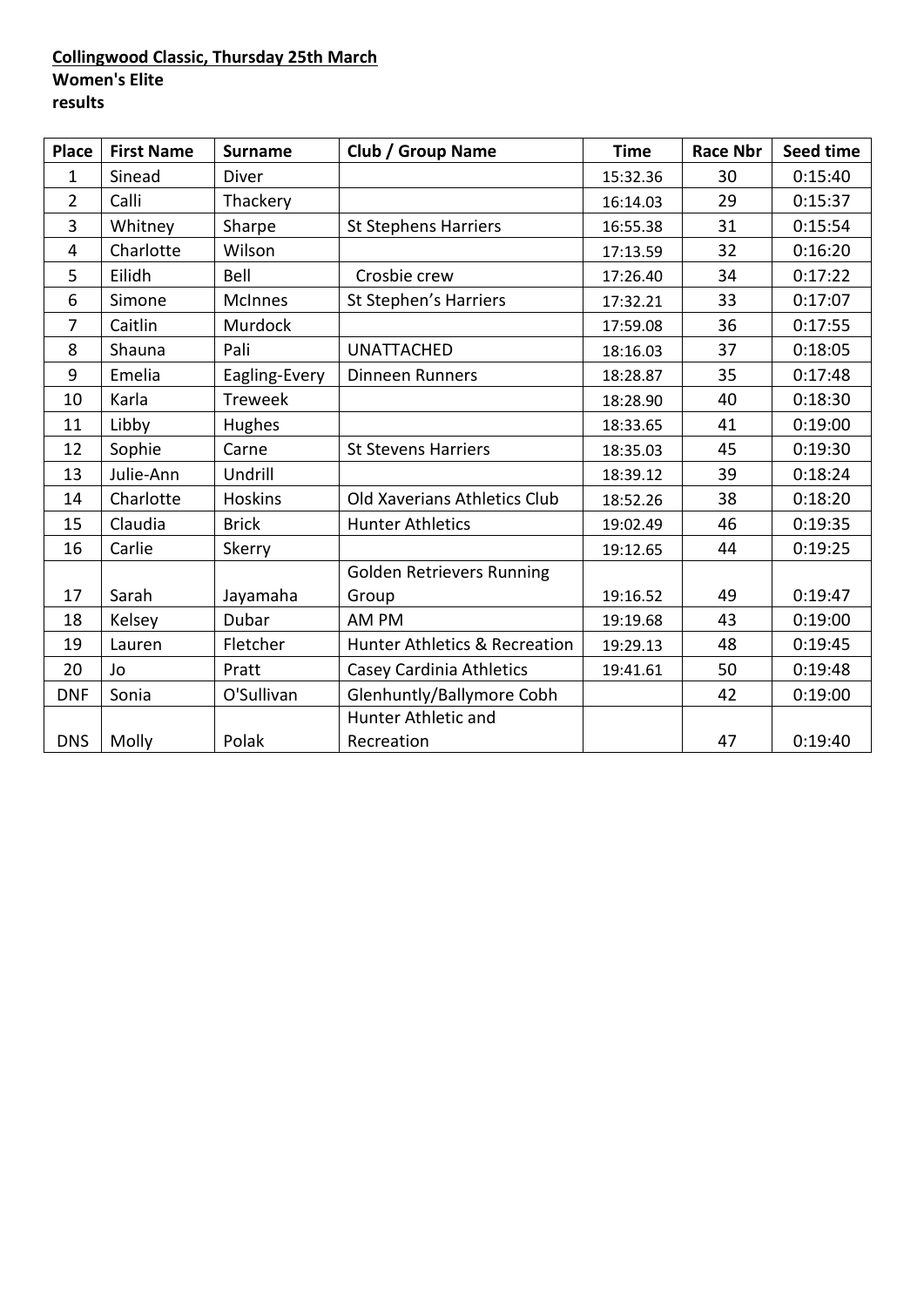### **Collingwood Classic, Thursday 25th March Women's Elite results**

| <b>Place</b>   | <b>First Name</b> | <b>Surname</b> | <b>Club / Group Name</b>         | <b>Time</b> | <b>Race Nbr</b> | Seed time |
|----------------|-------------------|----------------|----------------------------------|-------------|-----------------|-----------|
| $\mathbf{1}$   | Sinead            | Diver          |                                  | 15:32.36    | 30              | 0:15:40   |
| $\overline{2}$ | Calli             | Thackery       |                                  | 16:14.03    | 29              | 0:15:37   |
| 3              | Whitney           | Sharpe         | <b>St Stephens Harriers</b>      | 16:55.38    | 31              | 0:15:54   |
| $\overline{4}$ | Charlotte         | Wilson         |                                  | 17:13.59    | 32              | 0:16:20   |
| 5              | Eilidh            | Bell           | Crosbie crew                     | 17:26.40    | 34              | 0:17:22   |
| 6              | Simone            | <b>McInnes</b> | St Stephen's Harriers            | 17:32.21    | 33              | 0:17:07   |
| $\overline{7}$ | Caitlin           | Murdock        |                                  | 17:59.08    | 36              | 0:17:55   |
| 8              | Shauna            | Pali           | <b>UNATTACHED</b>                | 18:16.03    | 37              | 0:18:05   |
| 9              | Emelia            | Eagling-Every  | <b>Dinneen Runners</b>           | 18:28.87    | 35              | 0:17:48   |
| 10             | Karla             | <b>Treweek</b> |                                  | 18:28.90    | 40              | 0:18:30   |
| 11             | Libby             | Hughes         |                                  | 18:33.65    | 41              | 0:19:00   |
| 12             | Sophie            | Carne          | <b>St Stevens Harriers</b>       | 18:35.03    | 45              | 0:19:30   |
| 13             | Julie-Ann         | Undrill        |                                  | 18:39.12    | 39              | 0:18:24   |
| 14             | Charlotte         | Hoskins        | Old Xaverians Athletics Club     | 18:52.26    | 38              | 0:18:20   |
| 15             | Claudia           | <b>Brick</b>   | <b>Hunter Athletics</b>          | 19:02.49    | 46              | 0:19:35   |
| 16             | Carlie            | Skerry         |                                  | 19:12.65    | 44              | 0:19:25   |
|                |                   |                | <b>Golden Retrievers Running</b> |             |                 |           |
| 17             | Sarah             | Jayamaha       | Group                            | 19:16.52    | 49              | 0:19:47   |
| 18             | Kelsey            | Dubar          | AM PM                            | 19:19.68    | 43              | 0:19:00   |
| 19             | Lauren            | Fletcher       | Hunter Athletics & Recreation    | 19:29.13    | 48              | 0:19:45   |
| 20             | Jo                | Pratt          | <b>Casey Cardinia Athletics</b>  | 19:41.61    | 50              | 0:19:48   |
| <b>DNF</b>     | Sonia             | O'Sullivan     | Glenhuntly/Ballymore Cobh        |             | 42              | 0:19:00   |
|                |                   |                | Hunter Athletic and              |             |                 |           |
| <b>DNS</b>     | Molly             | Polak          | Recreation                       |             | 47              | 0:19:40   |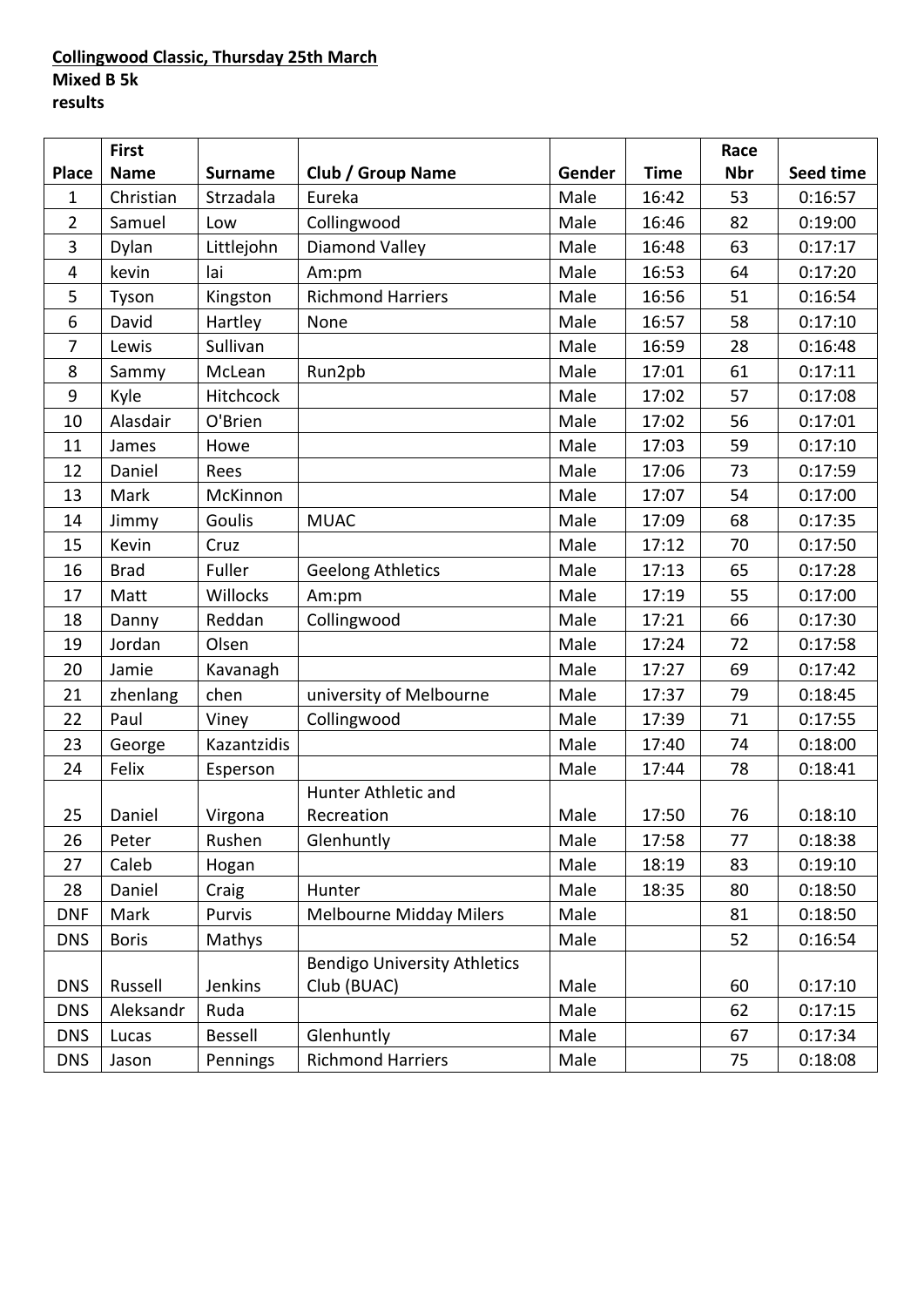### **Collingwood Classic, Thursday 25th March Mixed B 5k results**

|                | <b>First</b> |                |                                     |        |             | Race       |           |
|----------------|--------------|----------------|-------------------------------------|--------|-------------|------------|-----------|
| <b>Place</b>   | <b>Name</b>  | <b>Surname</b> | <b>Club / Group Name</b>            | Gender | <b>Time</b> | <b>Nbr</b> | Seed time |
| $\mathbf{1}$   | Christian    | Strzadala      | Eureka                              | Male   | 16:42       | 53         | 0:16:57   |
| $\overline{2}$ | Samuel       | Low            | Collingwood                         | Male   | 16:46       | 82         | 0:19:00   |
| 3              | Dylan        | Littlejohn     | <b>Diamond Valley</b>               | Male   | 16:48       | 63         | 0:17:17   |
| 4              | kevin        | lai            | Am:pm                               | Male   | 16:53       | 64         | 0:17:20   |
| 5              | Tyson        | Kingston       | <b>Richmond Harriers</b>            | Male   | 16:56       | 51         | 0:16:54   |
| 6              | David        | Hartley        | None                                | Male   | 16:57       | 58         | 0:17:10   |
| $\overline{7}$ | Lewis        | Sullivan       |                                     | Male   | 16:59       | 28         | 0:16:48   |
| 8              | Sammy        | McLean         | Run2pb                              | Male   | 17:01       | 61         | 0:17:11   |
| $9\,$          | Kyle         | Hitchcock      |                                     | Male   | 17:02       | 57         | 0:17:08   |
| 10             | Alasdair     | O'Brien        |                                     | Male   | 17:02       | 56         | 0:17:01   |
| 11             | James        | Howe           |                                     | Male   | 17:03       | 59         | 0:17:10   |
| 12             | Daniel       | Rees           |                                     | Male   | 17:06       | 73         | 0:17:59   |
| 13             | Mark         | McKinnon       |                                     | Male   | 17:07       | 54         | 0:17:00   |
| 14             | Jimmy        | Goulis         | <b>MUAC</b>                         | Male   | 17:09       | 68         | 0:17:35   |
| 15             | Kevin        | Cruz           |                                     | Male   | 17:12       | 70         | 0:17:50   |
| 16             | <b>Brad</b>  | Fuller         | <b>Geelong Athletics</b>            | Male   | 17:13       | 65         | 0:17:28   |
| 17             | Matt         | Willocks       | Am:pm                               | Male   | 17:19       | 55         | 0:17:00   |
| 18             | Danny        | Reddan         | Collingwood                         | Male   | 17:21       | 66         | 0:17:30   |
| 19             | Jordan       | Olsen          |                                     | Male   | 17:24       | 72         | 0:17:58   |
| 20             | Jamie        | Kavanagh       |                                     | Male   | 17:27       | 69         | 0:17:42   |
| 21             | zhenlang     | chen           | university of Melbourne             | Male   | 17:37       | 79         | 0:18:45   |
| 22             | Paul         | Viney          | Collingwood                         | Male   | 17:39       | 71         | 0:17:55   |
| 23             | George       | Kazantzidis    |                                     | Male   | 17:40       | 74         | 0:18:00   |
| 24             | Felix        | Esperson       |                                     | Male   | 17:44       | 78         | 0:18:41   |
|                |              |                | Hunter Athletic and                 |        |             |            |           |
| 25             | Daniel       | Virgona        | Recreation                          | Male   | 17:50       | 76         | 0:18:10   |
| 26             | Peter        | Rushen         | Glenhuntly                          | Male   | 17:58       | 77         | 0:18:38   |
| 27             | Caleb        | Hogan          |                                     | Male   | 18:19       | 83         | 0:19:10   |
| 28             | Daniel       | Craig          | Hunter                              | Male   | 18:35       | 80         | 0:18:50   |
| <b>DNF</b>     | Mark         | Purvis         | <b>Melbourne Midday Milers</b>      | Male   |             | 81         | 0:18:50   |
| <b>DNS</b>     | <b>Boris</b> | Mathys         |                                     | Male   |             | 52         | 0:16:54   |
|                |              |                | <b>Bendigo University Athletics</b> |        |             |            |           |
| <b>DNS</b>     | Russell      | Jenkins        | Club (BUAC)                         | Male   |             | 60         | 0:17:10   |
| <b>DNS</b>     | Aleksandr    | Ruda           |                                     | Male   |             | 62         | 0:17:15   |
| <b>DNS</b>     | Lucas        | <b>Bessell</b> | Glenhuntly                          | Male   |             | 67         | 0:17:34   |
| <b>DNS</b>     | Jason        | Pennings       | <b>Richmond Harriers</b>            | Male   |             | 75         | 0:18:08   |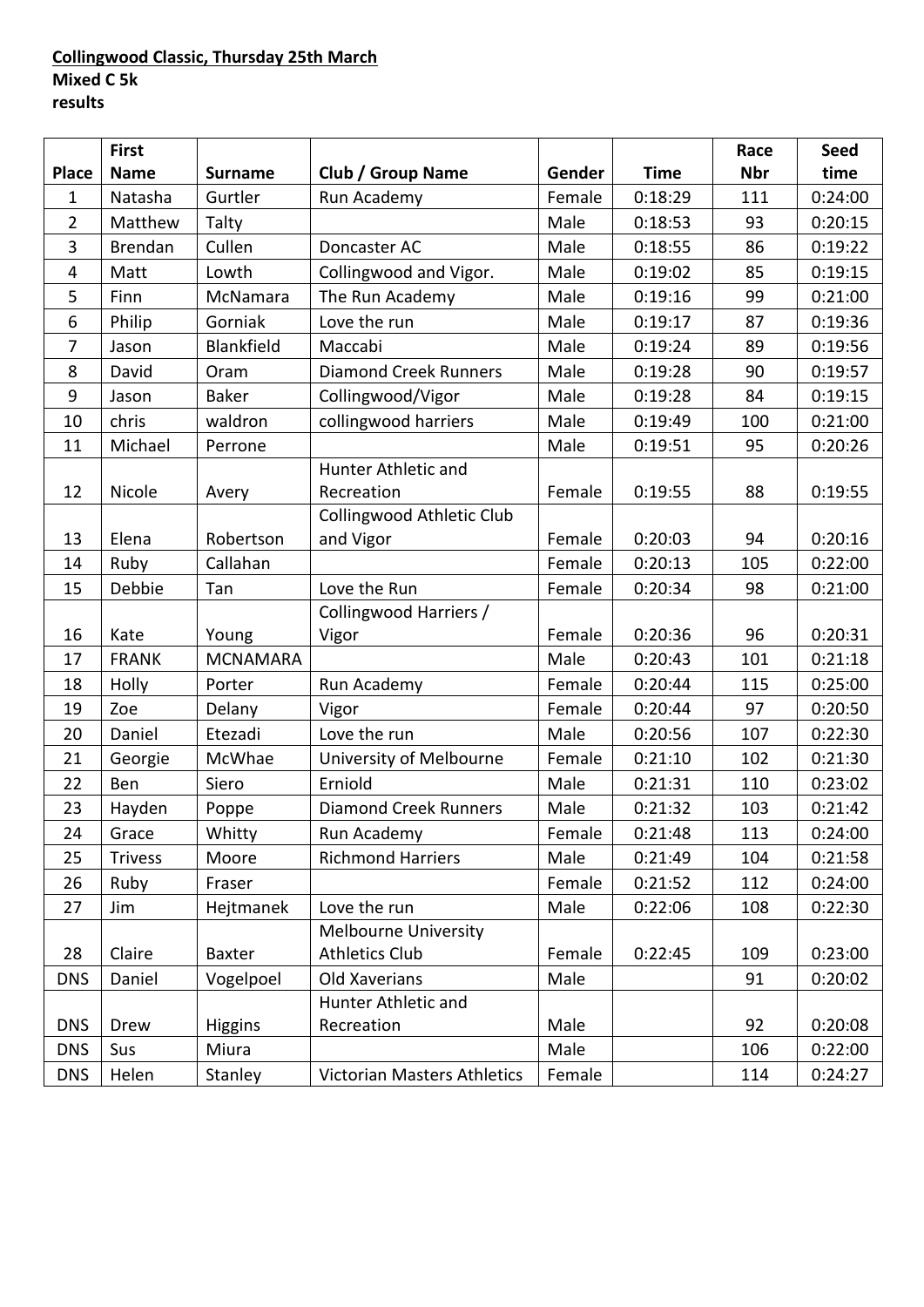### **Collingwood Classic, Thursday 25th March Mixed C 5k results**

|                | <b>First</b>   |                 |                                  |        |             | Race       | <b>Seed</b> |
|----------------|----------------|-----------------|----------------------------------|--------|-------------|------------|-------------|
| <b>Place</b>   | <b>Name</b>    | <b>Surname</b>  | <b>Club / Group Name</b>         | Gender | <b>Time</b> | <b>Nbr</b> | time        |
| $\mathbf 1$    | Natasha        | Gurtler         | Run Academy                      | Female | 0:18:29     | 111        | 0:24:00     |
| $\overline{2}$ | Matthew        | Talty           |                                  | Male   | 0:18:53     | 93         | 0:20:15     |
| 3              | <b>Brendan</b> | Cullen          | Doncaster AC                     | Male   | 0:18:55     | 86         | 0:19:22     |
| 4              | Matt           | Lowth           | Collingwood and Vigor.           | Male   | 0:19:02     | 85         | 0:19:15     |
| 5              | Finn           | McNamara        | The Run Academy                  | Male   | 0:19:16     | 99         | 0:21:00     |
| 6              | Philip         | Gorniak         | Love the run                     | Male   | 0:19:17     | 87         | 0:19:36     |
| 7              | Jason          | Blankfield      | Maccabi                          | Male   | 0:19:24     | 89         | 0:19:56     |
| 8              | David          | Oram            | <b>Diamond Creek Runners</b>     | Male   | 0:19:28     | 90         | 0:19:57     |
| 9              | Jason          | <b>Baker</b>    | Collingwood/Vigor                | Male   | 0:19:28     | 84         | 0:19:15     |
| 10             | chris          | waldron         | collingwood harriers             | Male   | 0:19:49     | 100        | 0:21:00     |
| 11             | Michael        | Perrone         |                                  | Male   | 0:19:51     | 95         | 0:20:26     |
|                |                |                 | Hunter Athletic and              |        |             |            |             |
| 12             | Nicole         | Avery           | Recreation                       | Female | 0:19:55     | 88         | 0:19:55     |
|                |                |                 | <b>Collingwood Athletic Club</b> |        |             |            |             |
| 13             | Elena          | Robertson       | and Vigor                        | Female | 0:20:03     | 94         | 0:20:16     |
| 14             | Ruby           | Callahan        |                                  | Female | 0:20:13     | 105        | 0:22:00     |
| 15             | Debbie         | Tan             | Love the Run                     | Female | 0:20:34     | 98         | 0:21:00     |
|                |                |                 | Collingwood Harriers /           |        |             |            |             |
| 16             | Kate           | Young           | Vigor                            | Female | 0:20:36     | 96         | 0:20:31     |
| 17             | <b>FRANK</b>   | <b>MCNAMARA</b> |                                  | Male   | 0:20:43     | 101        | 0:21:18     |
| 18             | Holly          | Porter          | Run Academy                      | Female | 0:20:44     | 115        | 0:25:00     |
| 19             | Zoe            | Delany          | Vigor                            | Female | 0:20:44     | 97         | 0:20:50     |
| 20             | Daniel         | Etezadi         | Love the run                     | Male   | 0:20:56     | 107        | 0:22:30     |
| 21             | Georgie        | McWhae          | University of Melbourne          | Female | 0:21:10     | 102        | 0:21:30     |
| 22             | Ben            | Siero           | Erniold                          | Male   | 0:21:31     | 110        | 0:23:02     |
| 23             | Hayden         | Poppe           | <b>Diamond Creek Runners</b>     | Male   | 0:21:32     | 103        | 0:21:42     |
| 24             | Grace          | Whitty          | Run Academy                      | Female | 0:21:48     | 113        | 0:24:00     |
| 25             | <b>Trivess</b> | Moore           | <b>Richmond Harriers</b>         | Male   | 0:21:49     | 104        | 0:21:58     |
| 26             | Ruby           | Fraser          |                                  | Female | 0:21:52     | 112        | 0:24:00     |
| 27             | Jim            | Hejtmanek       | Love the run                     | Male   | 0:22:06     | 108        | 0:22:30     |
|                |                |                 | <b>Melbourne University</b>      |        |             |            |             |
| 28             | Claire         | <b>Baxter</b>   | <b>Athletics Club</b>            | Female | 0:22:45     | 109        | 0:23:00     |
| <b>DNS</b>     | Daniel         | Vogelpoel       | Old Xaverians                    | Male   |             | 91         | 0:20:02     |
|                |                |                 | Hunter Athletic and              |        |             |            |             |
| <b>DNS</b>     | Drew           | <b>Higgins</b>  | Recreation                       | Male   |             | 92         | 0:20:08     |
| <b>DNS</b>     | Sus            | Miura           |                                  | Male   |             | 106        | 0:22:00     |
| <b>DNS</b>     | Helen          | Stanley         | Victorian Masters Athletics      | Female |             | 114        | 0:24:27     |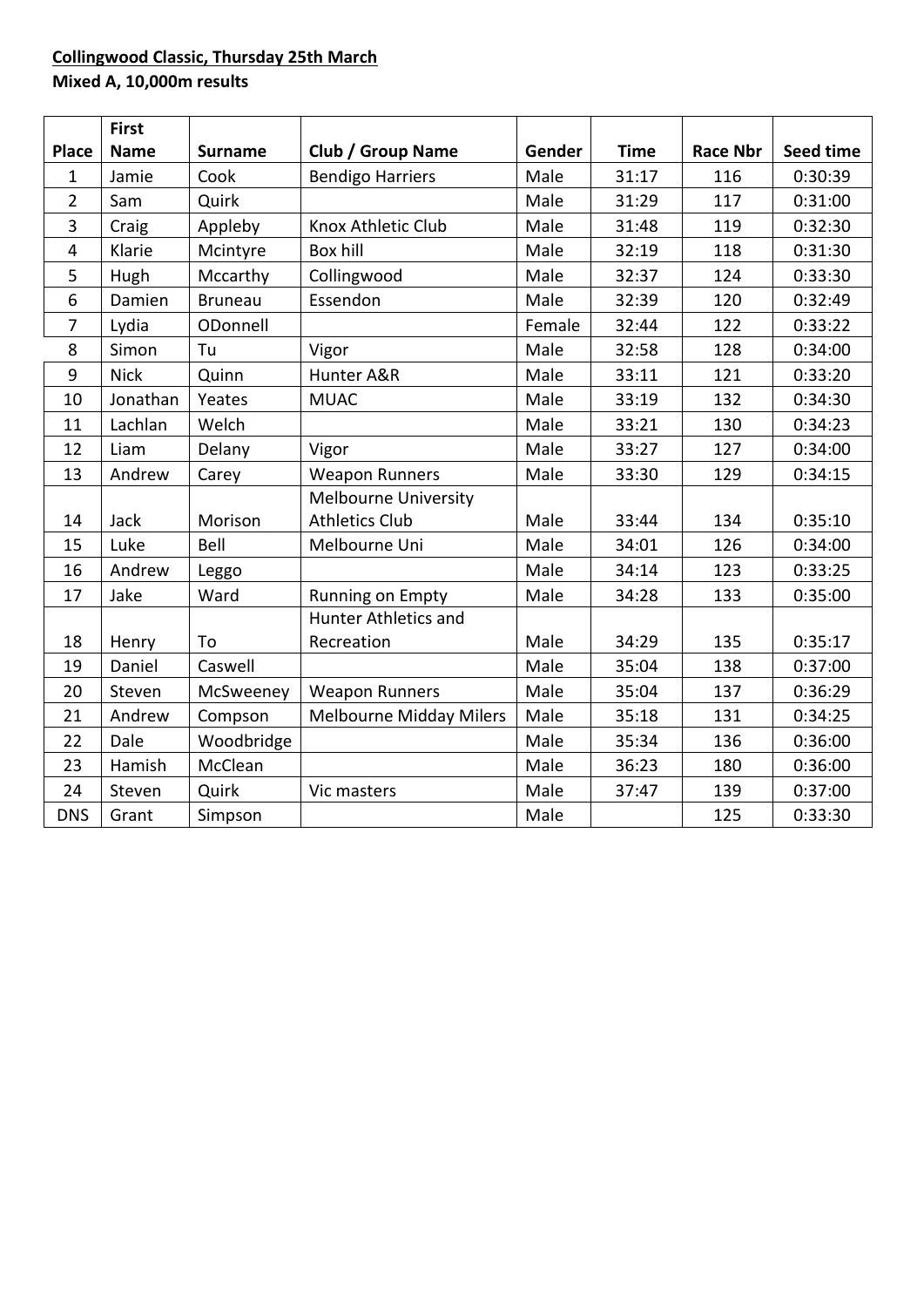# **Collingwood Classic, Thursday 25th March Mixed A, 10,000m results**

|                | <b>First</b> |                |                                |        |             |                 |           |
|----------------|--------------|----------------|--------------------------------|--------|-------------|-----------------|-----------|
| <b>Place</b>   | <b>Name</b>  | <b>Surname</b> | <b>Club / Group Name</b>       | Gender | <b>Time</b> | <b>Race Nbr</b> | Seed time |
| 1              | Jamie        | Cook           | <b>Bendigo Harriers</b>        | Male   | 31:17       | 116             | 0:30:39   |
| 2              | Sam          | Quirk          |                                | Male   | 31:29       | 117             | 0:31:00   |
| 3              | Craig        | Appleby        | Knox Athletic Club             | Male   | 31:48       | 119             | 0:32:30   |
| 4              | Klarie       | Mcintyre       | Box hill                       | Male   | 32:19       | 118             | 0:31:30   |
| 5              | Hugh         | Mccarthy       | Collingwood                    | Male   | 32:37       | 124             | 0:33:30   |
| 6              | Damien       | <b>Bruneau</b> | Essendon                       | Male   | 32:39       | 120             | 0:32:49   |
| $\overline{7}$ | Lydia        | ODonnell       |                                | Female | 32:44       | 122             | 0:33:22   |
| 8              | Simon        | Tu             | Vigor                          | Male   | 32:58       | 128             | 0:34:00   |
| 9              | <b>Nick</b>  | Quinn          | Hunter A&R                     | Male   | 33:11       | 121             | 0:33:20   |
| 10             | Jonathan     | Yeates         | <b>MUAC</b>                    | Male   | 33:19       | 132             | 0:34:30   |
| 11             | Lachlan      | Welch          |                                | Male   | 33:21       | 130             | 0:34:23   |
| 12             | Liam         | Delany         | Vigor                          | Male   | 33:27       | 127             | 0:34:00   |
| 13             | Andrew       | Carey          | <b>Weapon Runners</b>          | Male   | 33:30       | 129             | 0:34:15   |
|                |              |                | <b>Melbourne University</b>    |        |             |                 |           |
| 14             | Jack         | Morison        | <b>Athletics Club</b>          | Male   | 33:44       | 134             | 0:35:10   |
| 15             | Luke         | Bell           | Melbourne Uni                  | Male   | 34:01       | 126             | 0:34:00   |
| 16             | Andrew       | Leggo          |                                | Male   | 34:14       | 123             | 0:33:25   |
| 17             | Jake         | Ward           | Running on Empty               | Male   | 34:28       | 133             | 0:35:00   |
|                |              |                | <b>Hunter Athletics and</b>    |        |             |                 |           |
| 18             | Henry        | To             | Recreation                     | Male   | 34:29       | 135             | 0:35:17   |
| 19             | Daniel       | Caswell        |                                | Male   | 35:04       | 138             | 0:37:00   |
| 20             | Steven       | McSweeney      | <b>Weapon Runners</b>          | Male   | 35:04       | 137             | 0:36:29   |
| 21             | Andrew       | Compson        | <b>Melbourne Midday Milers</b> | Male   | 35:18       | 131             | 0:34:25   |
| 22             | Dale         | Woodbridge     |                                | Male   | 35:34       | 136             | 0:36:00   |
| 23             | Hamish       | McClean        |                                | Male   | 36:23       | 180             | 0:36:00   |
| 24             | Steven       | Quirk          | Vic masters                    | Male   | 37:47       | 139             | 0:37:00   |
| <b>DNS</b>     | Grant        | Simpson        |                                | Male   |             | 125             | 0:33:30   |